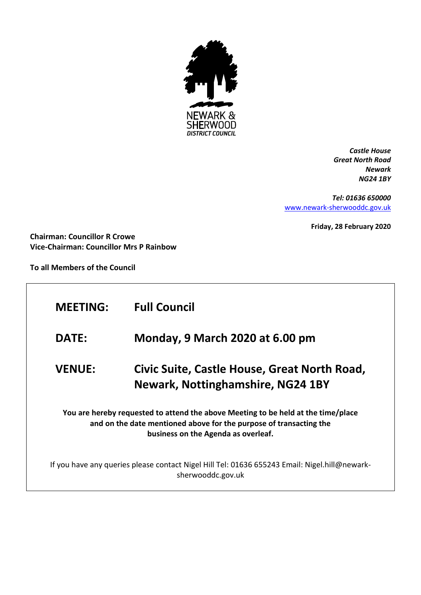

*Castle House Great North Road Newark NG24 1BY*

*Tel: 01636 650000* [www.newark-sherwooddc.gov.uk](http://www.newark-sherwooddc.gov.uk/)

**Friday, 28 February 2020**

**Chairman: Councillor R Crowe Vice-Chairman: Councillor Mrs P Rainbow**

**To all Members of the Council**

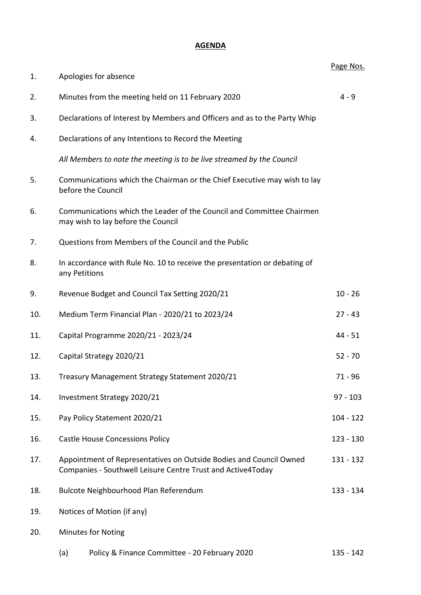## **AGENDA**

|     |                                                                                                                                   |                                                                                                             | Page Nos.   |  |
|-----|-----------------------------------------------------------------------------------------------------------------------------------|-------------------------------------------------------------------------------------------------------------|-------------|--|
| 1.  |                                                                                                                                   | Apologies for absence                                                                                       |             |  |
| 2.  |                                                                                                                                   | $4 - 9$<br>Minutes from the meeting held on 11 February 2020                                                |             |  |
| 3.  |                                                                                                                                   | Declarations of Interest by Members and Officers and as to the Party Whip                                   |             |  |
| 4.  |                                                                                                                                   | Declarations of any Intentions to Record the Meeting                                                        |             |  |
|     |                                                                                                                                   | All Members to note the meeting is to be live streamed by the Council                                       |             |  |
| 5.  |                                                                                                                                   | Communications which the Chairman or the Chief Executive may wish to lay<br>before the Council              |             |  |
| 6.  |                                                                                                                                   | Communications which the Leader of the Council and Committee Chairmen<br>may wish to lay before the Council |             |  |
| 7.  |                                                                                                                                   | Questions from Members of the Council and the Public                                                        |             |  |
| 8.  |                                                                                                                                   | In accordance with Rule No. 10 to receive the presentation or debating of<br>any Petitions                  |             |  |
| 9.  |                                                                                                                                   | Revenue Budget and Council Tax Setting 2020/21                                                              | $10 - 26$   |  |
| 10. |                                                                                                                                   | Medium Term Financial Plan - 2020/21 to 2023/24                                                             | $27 - 43$   |  |
| 11. |                                                                                                                                   | Capital Programme 2020/21 - 2023/24                                                                         | $44 - 51$   |  |
| 12. | Capital Strategy 2020/21                                                                                                          |                                                                                                             | $52 - 70$   |  |
| 13. | Treasury Management Strategy Statement 2020/21                                                                                    |                                                                                                             | 71 - 96     |  |
| 14. | Investment Strategy 2020/21                                                                                                       |                                                                                                             | $97 - 103$  |  |
| 15. | Pay Policy Statement 2020/21                                                                                                      |                                                                                                             | $104 - 122$ |  |
| 16. | <b>Castle House Concessions Policy</b>                                                                                            |                                                                                                             | 123 - 130   |  |
| 17. | Appointment of Representatives on Outside Bodies and Council Owned<br>Companies - Southwell Leisure Centre Trust and Active4Today |                                                                                                             | 131 - 132   |  |
| 18. | Bulcote Neighbourhood Plan Referendum<br>133 - 134                                                                                |                                                                                                             |             |  |
| 19. | Notices of Motion (if any)                                                                                                        |                                                                                                             |             |  |
| 20. |                                                                                                                                   | <b>Minutes for Noting</b>                                                                                   |             |  |
|     | (a)                                                                                                                               | Policy & Finance Committee - 20 February 2020                                                               | 135 - 142   |  |